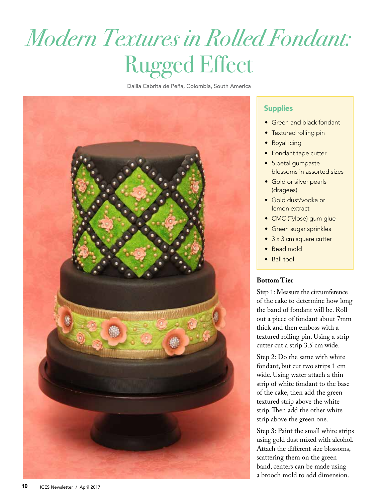# *Modern Textures in Rolled Fondant:*  Rugged Effect

Dalila Cabrita de Peña, Colombia, South America



### **Supplies**

- Green and black fondant
- Textured rolling pin
- Royal icing
- Fondant tape cutter
- 5 petal gumpaste blossoms in assorted sizes
- Gold or silver pearls (dragees)
- Gold dust/vodka or lemon extract
- CMC (Tylose) gum glue
- Green sugar sprinkles
- 3 x 3 cm square cutter
- Bead mold
- Ball tool

#### **Bottom Tier**

Step 1: Measure the circumference of the cake to determine how long the band of fondant will be. Roll out a piece of fondant about 7mm thick and then emboss with a textured rolling pin. Using a strip cutter cut a strip 3.5 cm wide.

Step 2: Do the same with white fondant, but cut two strips 1 cm wide. Using water attach a thin strip of white fondant to the base of the cake, then add the green textured strip above the white strip. Then add the other white strip above the green one.

Step 3: Paint the small white strips using gold dust mixed with alcohol. Attach the different size blossoms, scattering them on the green band, centers can be made using a brooch mold to add dimension.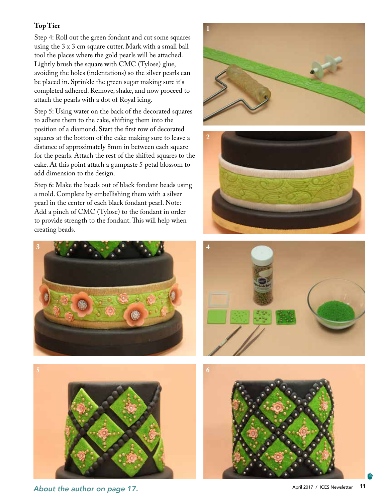## **Top Tier**

Step 4: Roll out the green fondant and cut some squares using the 3 x 3 cm square cutter. Mark with a small ball tool the places where the gold pearls will be attached. Lightly brush the square with CMC (Tylose) glue, avoiding the holes (indentations) so the silver pearls can be placed in. Sprinkle the green sugar making sure it's completed adhered. Remove, shake, and now proceed to attach the pearls with a dot of Royal icing.

Step 5: Using water on the back of the decorated squares to adhere them to the cake, shifting them into the position of a diamond. Start the first row of decorated squares at the bottom of the cake making sure to leave a distance of approximately 8mm in between each square for the pearls. Attach the rest of the shifted squares to the cake. At this point attach a gumpaste 5 petal blossom to add dimension to the design.

Step 6: Make the beads out of black fondant beads using a mold. Complete by embellishing them with a silver pearl in the center of each black fondant pearl. Note: Add a pinch of CMC (Tylose) to the fondant in order to provide strength to the fondant. This will help when creating beads.













*About the author on page 17.*